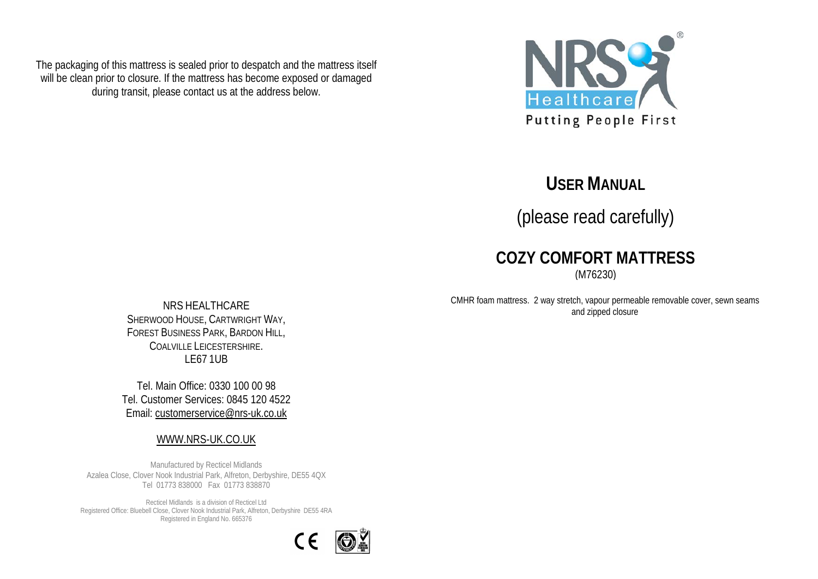The packaging of this mattress is sealed prior to despatch and the mattress itself will be clean prior to closure. If the mattress has become exposed or damaged during transit, please contact us at the address below.



# **USER MANUAL**

(please read carefully)

## **COZY COMFORT MATTRESS**

(M76230)

CMHR foam mattress. 2 way stretch, vapour permeable removable cover, sewn seams and zipped closure

NRS HEALTHCARE SHERWOOD HOUSE, CARTWRIGHT WAY, FOREST BUSINESS PARK, BARDON HILL, COALVILLE LEICESTERSHIRE. LE67 1UB

Tel. Main Office: 0330 100 00 98 Tel. Customer Services: 0845 120 4522 Email: [customerservice@nrs-uk.co.uk](mailto:customerservice@nrs-uk.co.uk)

#### [WWW.NRS-UK.CO.UK](http://www.nrs-uk.co.uk/)

Manufactured by Recticel Midlands Azalea Close, Clover Nook Industrial Park, Alfreton, Derbyshire, DE55 4QX Tel 01773 838000 Fax 01773 838870

Recticel Midlands is a division of Recticel Ltd Registered Office: Bluebell Close, Clover Nook Industrial Park, Alfreton, Derbyshire DE55 4RA Registered in England No. 665376